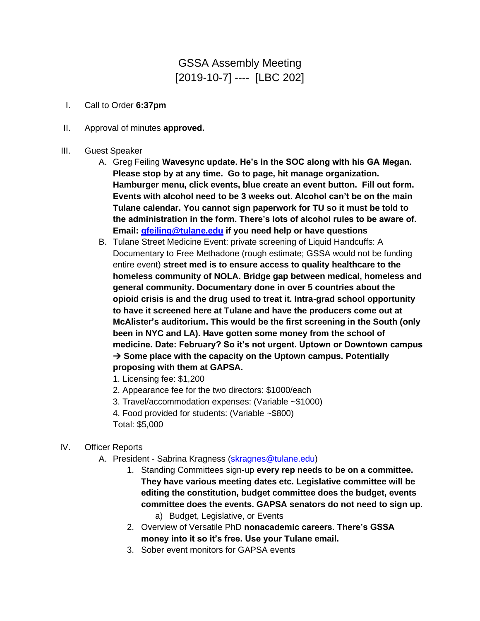## GSSA Assembly Meeting [2019-10-7] ---- [LBC 202]

- I. Call to Order **6:37pm**
- II. Approval of minutes **approved.**
- III. Guest Speaker
	- A. Greg Feiling **Wavesync update. He's in the SOC along with his GA Megan. Please stop by at any time. Go to page, hit manage organization. Hamburger menu, click events, blue create an event button. Fill out form. Events with alcohol need to be 3 weeks out. Alcohol can't be on the main Tulane calendar. You cannot sign paperwork for TU so it must be told to the administration in the form. There's lots of alcohol rules to be aware of. Email: [gfeiling@tulane.edu](mailto:gfeiling@tulane.edu) if you need help or have questions**
	- B. Tulane Street Medicine Event: private screening of Liquid Handcuffs: A Documentary to Free Methadone (rough estimate; GSSA would not be funding entire event) **street med is to ensure access to quality healthcare to the homeless community of NOLA. Bridge gap between medical, homeless and general community. Documentary done in over 5 countries about the opioid crisis is and the drug used to treat it. Intra-grad school opportunity to have it screened here at Tulane and have the producers come out at McAlister's auditorium. This would be the first screening in the South (only been in NYC and LA). Have gotten some money from the school of medicine. Date: February? So it's not urgent. Uptown or Downtown campus**  → **Some place with the capacity on the Uptown campus. Potentially proposing with them at GAPSA.**

1. Licensing fee: \$1,200

- 2. Appearance fee for the two directors: \$1000/each
- 3. Travel/accommodation expenses: (Variable ~\$1000)

4. Food provided for students: (Variable ~\$800) Total: \$5,000

- IV. Officer Reports
	- A. President Sabrina Kragness [\(skragnes@tulane.edu\)](mailto:skragnes@tulane.edu)
		- 1. Standing Committees sign-up **every rep needs to be on a committee. They have various meeting dates etc. Legislative committee will be editing the constitution, budget committee does the budget, events committee does the events. GAPSA senators do not need to sign up.**  a) Budget, Legislative, or Events
		- 2. Overview of Versatile PhD **nonacademic careers. There's GSSA money into it so it's free. Use your Tulane email.**
		- 3. Sober event monitors for GAPSA events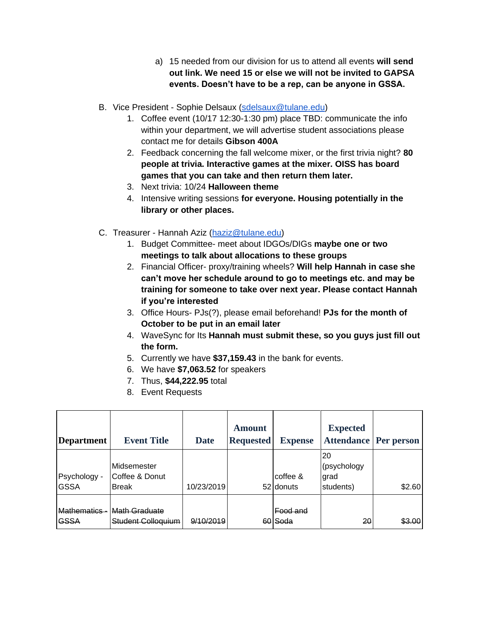- a) 15 needed from our division for us to attend all events **will send out link. We need 15 or else we will not be invited to GAPSA events. Doesn't have to be a rep, can be anyone in GSSA.**
- B. Vice President Sophie Delsaux [\(sdelsaux@tulane.edu\)](mailto:sdelsaux@tulane.edu)
	- 1. Coffee event (10/17 12:30-1:30 pm) place TBD: communicate the info within your department, we will advertise student associations please contact me for details **Gibson 400A**
	- 2. Feedback concerning the fall welcome mixer, or the first trivia night? **80 people at trivia. Interactive games at the mixer. OISS has board games that you can take and then return them later.**
	- 3. Next trivia: 10/24 **Halloween theme**
	- 4. Intensive writing sessions **for everyone. Housing potentially in the library or other places.**
- C. Treasurer Hannah Aziz [\(haziz@tulane.edu\)](mailto:haziz@tulane.edu)
	- 1. Budget Committee- meet about IDGOs/DIGs **maybe one or two meetings to talk about allocations to these groups**
	- 2. Financial Officer- proxy/training wheels? **Will help Hannah in case she can't move her schedule around to go to meetings etc. and may be training for someone to take over next year. Please contact Hannah if you're interested**
	- 3. Office Hours- PJs(?), please email beforehand! **PJs for the month of October to be put in an email later**
	- 4. WaveSync for Its **Hannah must submit these, so you guys just fill out the form.**
	- 5. Currently we have **\$37,159.43** in the bank for events.
	- 6. We have **\$7,063.52** for speakers
	- 7. Thus, **\$44,222.95** total
	- 8. Event Requests

| <b>Department</b>            | <b>Event Title</b>                              | <b>Date</b> | <b>Amount</b><br><b>Requested</b> | <b>Expense</b>          | <b>Expected</b><br><b>Attendance</b>   | Per person |
|------------------------------|-------------------------------------------------|-------------|-----------------------------------|-------------------------|----------------------------------------|------------|
| Psychology -<br><b>GSSA</b>  | lMidsemester<br>lCoffee & Donut<br><b>Break</b> | 10/23/2019  |                                   | coffee &<br>52 donuts   | 20<br>(psychology<br>grad<br>students) | \$2.60     |
| Mathematics -<br><b>GSSA</b> | <b>Math Graduate</b><br>Student Colloguium      | 9/10/2019   | 60                                | <b>Food and</b><br>Soda | 20                                     | \$3.00     |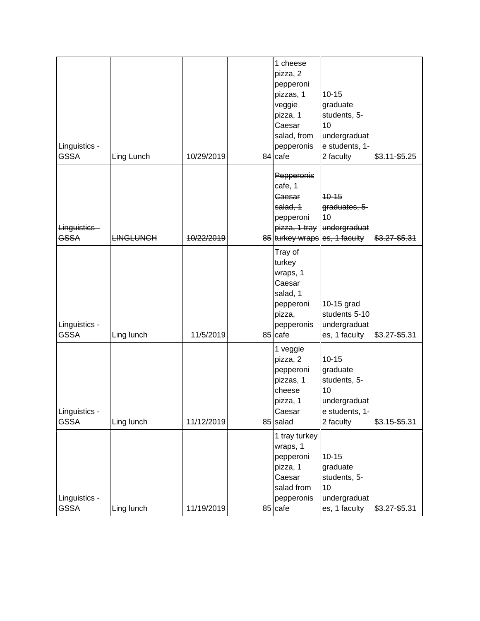| Linguistics -<br><b>GSSA</b> | Ling Lunch       | 10/29/2019 | 1 cheese<br>pizza, 2<br>pepperoni<br>pizzas, 1<br>veggie<br>pizza, 1<br>Caesar<br>salad, from<br>pepperonis<br>84 cafe | $10 - 15$<br>graduate<br>students, 5-<br>10<br>undergraduat<br>e students, 1-<br>2 faculty | \$3.11-\$5.25   |
|------------------------------|------------------|------------|------------------------------------------------------------------------------------------------------------------------|--------------------------------------------------------------------------------------------|-----------------|
| Linguistics-<br><b>GSSA</b>  | <b>LINGLUNCH</b> | 10/22/2019 | Pepperonis<br>cafe, 1<br>Caesar<br>salad, 1<br>pepperoni<br>85 turkey wraps es, 1 faculty                              | $10 - 15$<br>graduates, 5-<br>40<br>pizza, 1 tray undergraduat                             | $$3.27 - $5.31$ |
| Linguistics -<br><b>GSSA</b> | Ling lunch       | 11/5/2019  | Tray of<br>turkey<br>wraps, 1<br>Caesar<br>salad, 1<br>pepperoni<br>pizza,<br>pepperonis<br>85 cafe                    | 10-15 grad<br>students 5-10<br>undergraduat<br>es, 1 faculty                               | \$3.27-\$5.31   |
| Linguistics -<br><b>GSSA</b> | Ling lunch       | 11/12/2019 | 1 veggie<br>pizza, 2<br>pepperoni<br>pizzas, 1<br>cheese<br>pizza, 1<br>Caesar<br>85 salad                             | $10 - 15$<br>graduate<br>students, 5-<br>10<br>undergraduat<br>e students, 1-<br>2 faculty | \$3.15-\$5.31   |
| Linguistics -<br><b>GSSA</b> | Ling lunch       | 11/19/2019 | 1 tray turkey<br>wraps, 1<br>pepperoni<br>pizza, 1<br>Caesar<br>salad from<br>pepperonis<br>85 cafe                    | $10 - 15$<br>graduate<br>students, 5-<br>10<br>undergraduat<br>es, 1 faculty               | \$3.27-\$5.31   |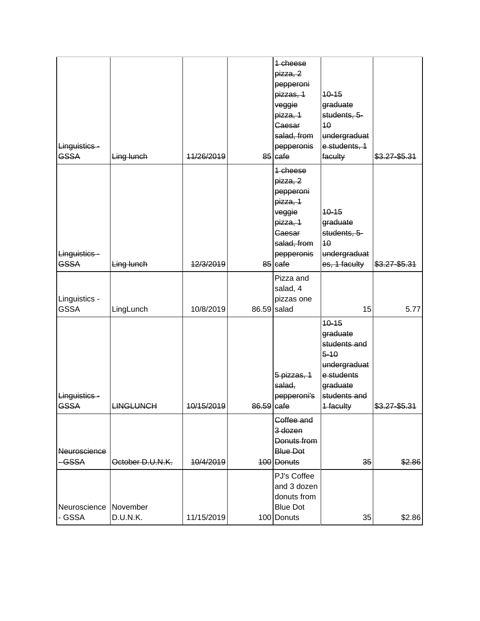| Linguistics -<br><b>GSSA</b>  | Ling lunch           | 11/26/2019 |            | 1-cheese<br>pizza, 2<br>pepperoni<br>pizzas, 1<br>veggie<br>pizza, 1<br><b>Caesar</b><br>salad, from<br>pepperonis<br>85 Gafe | $10 - 15$<br>graduate<br>students, 5-<br>10<br>undergraduat<br>e students, 1<br>faculty                                  | $$3.27 - $5.31$ |
|-------------------------------|----------------------|------------|------------|-------------------------------------------------------------------------------------------------------------------------------|--------------------------------------------------------------------------------------------------------------------------|-----------------|
| Linguistics-<br><b>GSSA</b>   | Ling lunch           | 12/3/2019  |            | 1-cheese<br>pizza, 2<br>pepperoni<br>pizza, 1<br>veggie<br>pizza, 1<br>Caesar<br>salad, from<br>pepperonis<br>$85$ cafe       | $10 - 15$<br>graduate<br>students, 5-<br>40<br>undergraduat<br>es, 1 faculty                                             | $$3.27 - $5.31$ |
| Linguistics -<br><b>GSSA</b>  | LingLunch            | 10/8/2019  | 86.59      | Pizza and<br>salad, 4<br>pizzas one<br>salad                                                                                  | 15                                                                                                                       | 5.77            |
| Linguistics-<br><b>GSSA</b>   | <b>LINGLUNCH</b>     | 10/15/2019 | 86.59 cafe | 5 pizzas, 1<br>salad,<br>pepperoni's                                                                                          | $10 - 15$<br>graduate<br>students and<br>$5 - 10$<br>undergraduat<br>e students<br>graduate<br>students and<br>1 faculty | \$3.27-\$5.31   |
| <b>Neuroscience</b><br>- GSSA | October D.U.N.K.     | 10/4/2019  |            | Coffee and<br>3 dozen<br>Donuts from<br><b>Blue Dot</b><br>100 Donuts                                                         | 35                                                                                                                       | \$2.86          |
| Neuroscience<br>- GSSA        | November<br>D.U.N.K. | 11/15/2019 |            | PJ's Coffee<br>and 3 dozen<br>donuts from<br><b>Blue Dot</b><br>100 Donuts                                                    | 35                                                                                                                       | \$2.86          |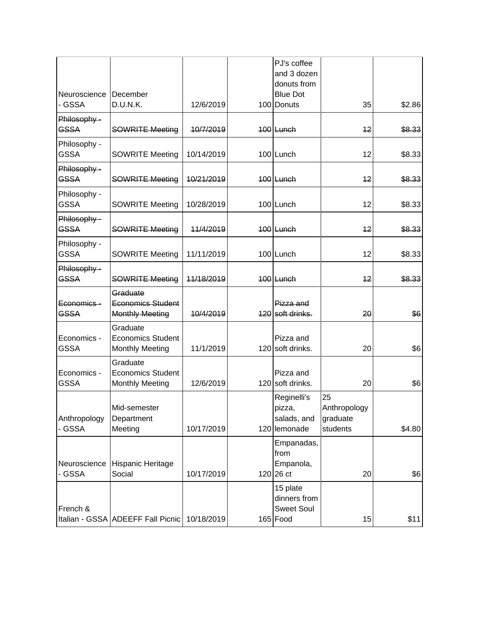|                             |                                                                |            | PJ's coffee<br>and 3 dozen                                |                                            |        |
|-----------------------------|----------------------------------------------------------------|------------|-----------------------------------------------------------|--------------------------------------------|--------|
|                             |                                                                |            | donuts from                                               |                                            |        |
| Neuroscience                | December                                                       |            | <b>Blue Dot</b>                                           |                                            |        |
| - GSSA                      | D.U.N.K.                                                       | 12/6/2019  | 100 Donuts                                                | 35                                         | \$2.86 |
| Philosophy -<br><b>GSSA</b> | <b>SOWRITE Meeting</b>                                         | 10/7/2019  | $100$ Lunch                                               | 12                                         | \$8.33 |
| Philosophy -<br><b>GSSA</b> | <b>SOWRITE Meeting</b>                                         | 10/14/2019 | 100 Lunch                                                 | 12                                         | \$8.33 |
| Philosophy -<br><b>GSSA</b> | <b>SOWRITE Meeting</b>                                         | 10/21/2019 | $100$ Lunch                                               | 12                                         | \$8.33 |
| Philosophy -<br><b>GSSA</b> | <b>SOWRITE Meeting</b>                                         | 10/28/2019 | 100 Lunch                                                 | 12                                         | \$8.33 |
| Philosophy -<br><b>GSSA</b> | <b>SOWRITE Meeting</b>                                         | 11/4/2019  | $100$ Lunch                                               | 12                                         | \$8.33 |
| Philosophy -<br><b>GSSA</b> | <b>SOWRITE Meeting</b>                                         | 11/11/2019 | 100 Lunch                                                 | 12                                         | \$8.33 |
| Philosophy -<br><b>GSSA</b> | <b>SOWRITE Meeting</b>                                         | 11/18/2019 | $100$ Lunch                                               | 12                                         | \$8.33 |
| Economics -<br><b>GSSA</b>  | Graduate<br><b>Economics Student</b><br><b>Monthly Meeting</b> | 10/4/2019  | Pizza and<br>120 soft drinks.                             | 20                                         | \$6    |
| Economics -<br><b>GSSA</b>  | Graduate<br><b>Economics Student</b><br><b>Monthly Meeting</b> | 11/1/2019  | Pizza and<br>120 soft drinks.                             | 20                                         | \$6    |
| Economics -<br><b>GSSA</b>  | Graduate<br><b>Economics Student</b><br><b>Monthly Meeting</b> | 12/6/2019  | Pizza and<br>120 soft drinks.                             | 20                                         | \$6    |
| Anthropology<br>- GSSA      | Mid-semester<br>Department<br>Meeting                          | 10/17/2019 | Reginelli's<br>pizza,<br>salads, and<br>120 lemonade      | 25<br>Anthropology<br>graduate<br>students | \$4.80 |
| Neuroscience<br>- GSSA      | Hispanic Heritage<br>Social                                    | 10/17/2019 | Empanadas,<br>from<br>Empanola,<br>$120$ 26 ct            | 20                                         | \$6    |
| French &                    | Italian - GSSA ADEEFF Fall Picnic                              | 10/18/2019 | 15 plate<br>dinners from<br><b>Sweet Soul</b><br>165 Food | 15                                         | \$11]  |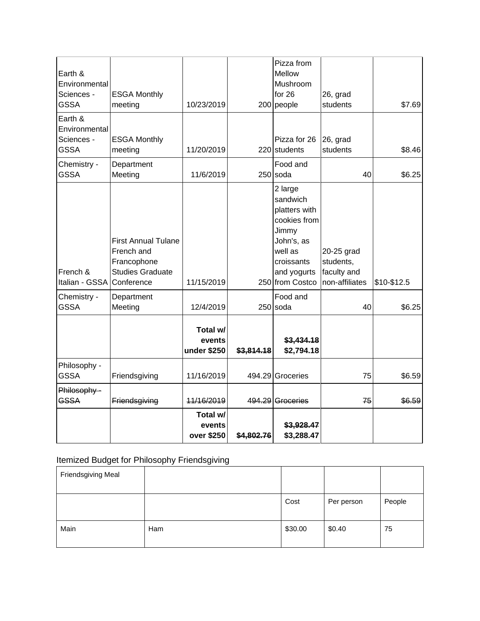| Earth &                   |                                        |             |            | Pizza from<br>Mellow           |                          |             |
|---------------------------|----------------------------------------|-------------|------------|--------------------------------|--------------------------|-------------|
| Environmental             |                                        |             |            | Mushroom                       |                          |             |
| Sciences -                | <b>ESGA Monthly</b>                    |             |            | for 26                         | 26, grad                 |             |
| <b>GSSA</b>               | meeting                                | 10/23/2019  |            | $200$ people                   | students                 | \$7.69      |
| Earth &<br>Environmental  |                                        |             |            |                                |                          |             |
| Sciences -<br><b>GSSA</b> | <b>ESGA Monthly</b><br>meeting         | 11/20/2019  | 220        | Pizza for 26<br>students       | 26, grad<br>students     | \$8.46      |
| Chemistry -               | Department                             |             |            | Food and                       |                          |             |
| <b>GSSA</b>               | Meeting                                | 11/6/2019   |            | $250$ soda                     | 40                       | \$6.25      |
|                           |                                        |             |            | 2 large<br>sandwich            |                          |             |
|                           |                                        |             |            | platters with                  |                          |             |
|                           |                                        |             |            | cookies from                   |                          |             |
|                           |                                        |             |            | Jimmy                          |                          |             |
|                           | <b>First Annual Tulane</b>             |             |            | John's, as                     |                          |             |
|                           | French and                             |             |            | well as                        | 20-25 grad               |             |
| French &                  | Francophone<br><b>Studies Graduate</b> |             |            | croissants                     | students,<br>faculty and |             |
| Italian - GSSA            | Conference                             | 11/15/2019  |            | and yogurts<br>250 from Costco | non-affiliates           | \$10-\$12.5 |
| Chemistry -               | Department                             |             |            | Food and                       |                          |             |
| <b>GSSA</b>               | Meeting                                | 12/4/2019   |            | $250$ soda                     | 40                       | \$6.25      |
|                           |                                        | Total w/    |            |                                |                          |             |
|                           |                                        | events      |            | \$3,434.18                     |                          |             |
|                           |                                        | under \$250 | \$3,814.18 | \$2,794.18                     |                          |             |
| Philosophy -              |                                        |             |            |                                |                          |             |
| <b>GSSA</b>               | Friendsgiving                          | 11/16/2019  | 494.29     | Groceries                      | 75                       | \$6.59      |
| Philosophy-               |                                        |             |            |                                |                          |             |
| <b>GSSA</b>               | Friendsgiving                          | 11/16/2019  |            | 494.29 Groceries               | 75                       | \$6.59      |
|                           |                                        | Total w/    |            |                                |                          |             |
|                           |                                        | events      |            | \$3,928.47                     |                          |             |
|                           |                                        | over \$250  | \$4,802.76 | \$3,288.47                     |                          |             |

## Itemized Budget for Philosophy Friendsgiving

| Friendsgiving Meal |     |         |            |        |
|--------------------|-----|---------|------------|--------|
|                    |     | Cost    | Per person | People |
| Main               | Ham | \$30.00 | \$0.40     | 75     |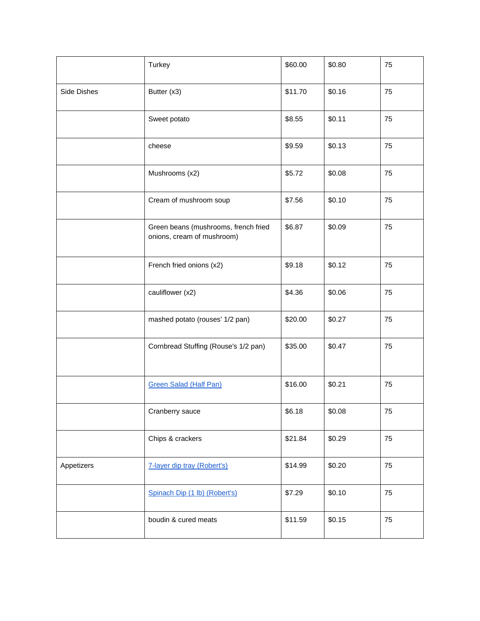|             | Turkey                                                             | \$60.00 | \$0.80 | 75 |
|-------------|--------------------------------------------------------------------|---------|--------|----|
| Side Dishes | Butter (x3)                                                        | \$11.70 | \$0.16 | 75 |
|             | Sweet potato                                                       | \$8.55  | \$0.11 | 75 |
|             | cheese                                                             | \$9.59  | \$0.13 | 75 |
|             | Mushrooms (x2)                                                     | \$5.72  | \$0.08 | 75 |
|             | Cream of mushroom soup                                             | \$7.56  | \$0.10 | 75 |
|             | Green beans (mushrooms, french fried<br>onions, cream of mushroom) | \$6.87  | \$0.09 | 75 |
|             | French fried onions (x2)                                           | \$9.18  | \$0.12 | 75 |
|             | cauliflower (x2)                                                   | \$4.36  | \$0.06 | 75 |
|             | mashed potato (rouses' 1/2 pan)                                    | \$20.00 | \$0.27 | 75 |
|             | Cornbread Stuffing (Rouse's 1/2 pan)                               | \$35.00 | \$0.47 | 75 |
|             | <b>Green Salad (Half Pan)</b>                                      | \$16.00 | \$0.21 | 75 |
|             | Cranberry sauce                                                    | \$6.18  | \$0.08 | 75 |
|             | Chips & crackers                                                   | \$21.84 | \$0.29 | 75 |
| Appetizers  | 7-layer dip tray (Robert's)                                        | \$14.99 | \$0.20 | 75 |
|             | Spinach Dip (1 lb) (Robert's)                                      | \$7.29  | \$0.10 | 75 |
|             | boudin & cured meats                                               | \$11.59 | \$0.15 | 75 |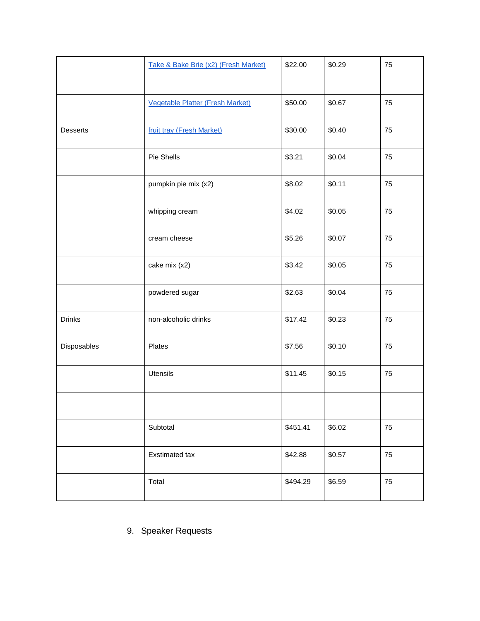|               | Take & Bake Brie (x2) (Fresh Market) | \$22.00  | \$0.29 | 75 |
|---------------|--------------------------------------|----------|--------|----|
|               | Vegetable Platter (Fresh Market)     | \$50.00  | \$0.67 | 75 |
| Desserts      | fruit tray (Fresh Market)            | \$30.00  | \$0.40 | 75 |
|               | Pie Shells                           | \$3.21   | \$0.04 | 75 |
|               | pumpkin pie mix (x2)                 | \$8.02   | \$0.11 | 75 |
|               | whipping cream                       | \$4.02   | \$0.05 | 75 |
|               | cream cheese                         | \$5.26   | \$0.07 | 75 |
|               | cake mix (x2)                        | \$3.42   | \$0.05 | 75 |
|               | powdered sugar                       | \$2.63   | \$0.04 | 75 |
| <b>Drinks</b> | non-alcoholic drinks                 | \$17.42  | \$0.23 | 75 |
| Disposables   | Plates                               | \$7.56   | \$0.10 | 75 |
|               | Utensils                             | \$11.45  | \$0.15 | 75 |
|               |                                      |          |        |    |
|               | Subtotal                             | \$451.41 | \$6.02 | 75 |
|               | Exstimated tax                       | \$42.88  | \$0.57 | 75 |
|               | Total                                | \$494.29 | \$6.59 | 75 |

## 9. Speaker Requests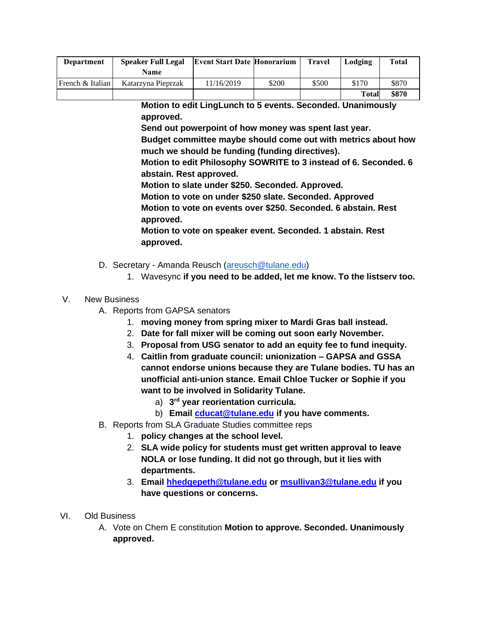| <b>Department</b> | <b>Speaker Full Legal</b> | <b>Event Start Date Honorarium</b> |       | <b>Travel</b> | Lodging      | Total |
|-------------------|---------------------------|------------------------------------|-------|---------------|--------------|-------|
|                   | Name                      |                                    |       |               |              |       |
| French & Italian  | Katarzyna Pieprzak        | 11/16/2019                         | \$200 | \$500         | \$170        | \$870 |
|                   |                           |                                    |       |               | <b>Total</b> | \$870 |

**Motion to edit LingLunch to 5 events. Seconded. Unanimously approved.** 

**Send out powerpoint of how money was spent last year.** 

**Budget committee maybe should come out with metrics about how much we should be funding (funding directives).** 

**Motion to edit Philosophy SOWRITE to 3 instead of 6. Seconded. 6 abstain. Rest approved.** 

**Motion to slate under \$250. Seconded. Approved.** 

**Motion to vote on under \$250 slate. Seconded. Approved Motion to vote on events over \$250. Seconded. 6 abstain. Rest approved.**

**Motion to vote on speaker event. Seconded. 1 abstain. Rest approved.** 

- D. Secretary Amanda Reusch [\(areusch@tulane.edu\)](mailto:areusch@tulane.edu)
	- 1. Wavesync **if you need to be added, let me know. To the listserv too.**

## V. New Business

- A. Reports from GAPSA senators
	- 1. **moving money from spring mixer to Mardi Gras ball instead.**
	- 2. **Date for fall mixer will be coming out soon early November.**
	- 3. **Proposal from USG senator to add an equity fee to fund inequity.**
	- 4. **Caitlin from graduate council: unionization – GAPSA and GSSA cannot endorse unions because they are Tulane bodies. TU has an unofficial anti-union stance. Email Chloe Tucker or Sophie if you want to be involved in Solidarity Tulane.** 
		- a) **3 rd year reorientation curricula.**
		- b) **Email [cducat@tulane.edu](mailto:cducat@tulane.edu) if you have comments.**
- B. Reports from SLA Graduate Studies committee reps
	- 1. **policy changes at the school level.**
	- 2. **SLA wide policy for students must get written approval to leave NOLA or lose funding. It did not go through, but it lies with departments.**
	- 3. **Email [hhedgepeth@tulane.edu](mailto:hhedgepeth@tulane.edu) or [msullivan3@tulane.edu](mailto:msullivan3@tulane.edu) if you have questions or concerns.**
- VI. Old Business
	- A. Vote on Chem E constitution **Motion to approve. Seconded. Unanimously approved.**